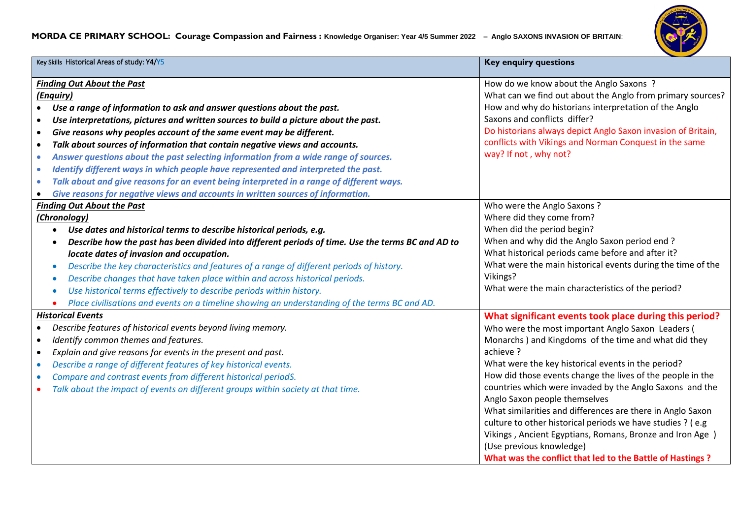## **MORDA CE PRIMARY SCHOOL: Courage Compassion and Fairness : Knowledge Organiser: Year 4/5 Summer 2022 – Anglo SAXONS INVASION OF BRITAIN**:



| Key Skills Historical Areas of study: Y4/Y5                                                                                                                                                                                                                                                                                                                                                                                                                                                                                                                                                                                                                                                                                                                                                                                                 | <b>Key enquiry questions</b>                                                                                                                                                                                                                                                                                                                                                                                                                                                                                                                                                                                                                                                       |
|---------------------------------------------------------------------------------------------------------------------------------------------------------------------------------------------------------------------------------------------------------------------------------------------------------------------------------------------------------------------------------------------------------------------------------------------------------------------------------------------------------------------------------------------------------------------------------------------------------------------------------------------------------------------------------------------------------------------------------------------------------------------------------------------------------------------------------------------|------------------------------------------------------------------------------------------------------------------------------------------------------------------------------------------------------------------------------------------------------------------------------------------------------------------------------------------------------------------------------------------------------------------------------------------------------------------------------------------------------------------------------------------------------------------------------------------------------------------------------------------------------------------------------------|
| <b>Finding Out About the Past</b><br>(Enquiry)<br>Use a range of information to ask and answer questions about the past.<br>$\bullet$<br>Use interpretations, pictures and written sources to build a picture about the past.<br>$\bullet$<br>Give reasons why peoples account of the same event may be different.<br>$\bullet$<br>Talk about sources of information that contain negative views and accounts.<br>$\bullet$<br>Answer questions about the past selecting information from a wide range of sources.<br>$\bullet$<br>Identify different ways in which people have represented and interpreted the past.<br>$\bullet$<br>Talk about and give reasons for an event being interpreted in a range of different ways.<br>$\bullet$<br>Give reasons for negative views and accounts in written sources of information.<br>$\bullet$ | How do we know about the Anglo Saxons?<br>What can we find out about the Anglo from primary sources?<br>How and why do historians interpretation of the Anglo<br>Saxons and conflicts differ?<br>Do historians always depict Anglo Saxon invasion of Britain,<br>conflicts with Vikings and Norman Conquest in the same<br>way? If not, why not?                                                                                                                                                                                                                                                                                                                                   |
| <b>Finding Out About the Past</b><br>(Chronology)<br>Use dates and historical terms to describe historical periods, e.g.<br>Describe how the past has been divided into different periods of time. Use the terms BC and AD to<br>locate dates of invasion and occupation.<br>Describe the key characteristics and features of a range of different periods of history.<br>Describe changes that have taken place within and across historical periods.<br>$\bullet$<br>Use historical terms effectively to describe periods within history.<br>Place civilisations and events on a timeline showing an understanding of the terms BC and AD.                                                                                                                                                                                                | Who were the Anglo Saxons?<br>Where did they come from?<br>When did the period begin?<br>When and why did the Anglo Saxon period end?<br>What historical periods came before and after it?<br>What were the main historical events during the time of the<br>Vikings?<br>What were the main characteristics of the period?                                                                                                                                                                                                                                                                                                                                                         |
| <b>Historical Events</b><br>Describe features of historical events beyond living memory.<br>$\bullet$<br>Identify common themes and features.<br>$\bullet$<br>Explain and give reasons for events in the present and past.<br>$\bullet$<br>Describe a range of different features of key historical events.<br>$\bullet$<br>Compare and contrast events from different historical periodS.<br>$\bullet$<br>Talk about the impact of events on different groups within society at that time.                                                                                                                                                                                                                                                                                                                                                 | What significant events took place during this period?<br>Who were the most important Anglo Saxon Leaders (<br>Monarchs) and Kingdoms of the time and what did they<br>achieve?<br>What were the key historical events in the period?<br>How did those events change the lives of the people in the<br>countries which were invaded by the Anglo Saxons and the<br>Anglo Saxon people themselves<br>What similarities and differences are there in Anglo Saxon<br>culture to other historical periods we have studies ? (e.g<br>Vikings, Ancient Egyptians, Romans, Bronze and Iron Age )<br>(Use previous knowledge)<br>What was the conflict that led to the Battle of Hastings? |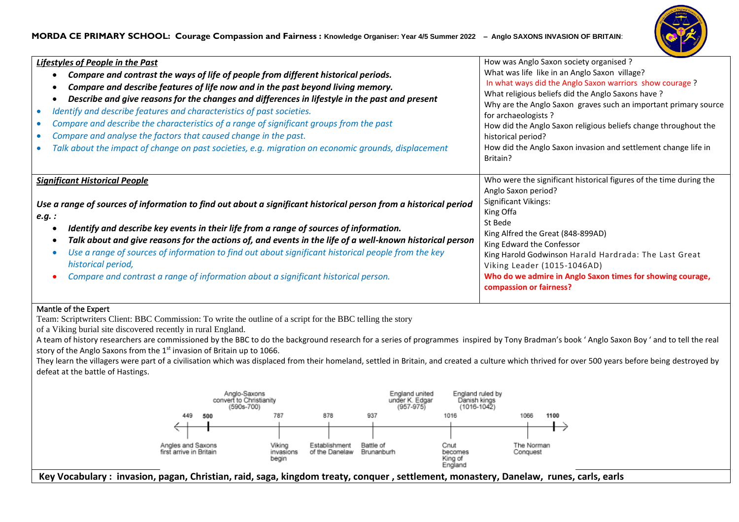## **MORDA CE PRIMARY SCHOOL: Courage Compassion and Fairness : Knowledge Organiser: Year 4/5 Summer 2022 – Anglo SAXONS INVASION OF BRITAIN**:



| <b>Lifestyles of People in the Past</b><br>Compare and contrast the ways of life of people from different historical periods.<br>Compare and describe features of life now and in the past beyond living memory.<br>Describe and give reasons for the changes and differences in lifestyle in the past and present<br>Identify and describe features and characteristics of past societies.<br>Compare and describe the characteristics of a range of significant groups from the past<br>Compare and analyse the factors that caused change in the past.<br>Talk about the impact of change on past societies, e.g. migration on economic grounds, displacement | How was Anglo Saxon society organised ?<br>What was life like in an Anglo Saxon village?<br>In what ways did the Anglo Saxon warriors show courage?<br>What religious beliefs did the Anglo Saxons have?<br>Why are the Anglo Saxon graves such an important primary source<br>for archaeologists?<br>How did the Anglo Saxon religious beliefs change throughout the<br>historical period?<br>How did the Anglo Saxon invasion and settlement change life in<br>Britain? |
|------------------------------------------------------------------------------------------------------------------------------------------------------------------------------------------------------------------------------------------------------------------------------------------------------------------------------------------------------------------------------------------------------------------------------------------------------------------------------------------------------------------------------------------------------------------------------------------------------------------------------------------------------------------|---------------------------------------------------------------------------------------------------------------------------------------------------------------------------------------------------------------------------------------------------------------------------------------------------------------------------------------------------------------------------------------------------------------------------------------------------------------------------|
| <b>Significant Historical People</b><br>Use a range of sources of information to find out about a significant historical person from a historical period<br>e.g. :<br>Identify and describe key events in their life from a range of sources of information.<br>Talk about and give reasons for the actions of, and events in the life of a well-known historical person<br>Use a range of sources of information to find out about significant historical people from the key<br>historical period,<br>Compare and contrast a range of information about a significant historical person.                                                                       | Who were the significant historical figures of the time during the<br>Anglo Saxon period?<br><b>Significant Vikings:</b><br>King Offa<br>St Bede<br>King Alfred the Great (848-899AD)<br>King Edward the Confessor<br>King Harold Godwinson Harald Hardrada: The Last Great<br>Viking Leader (1015-1046AD)<br>Who do we admire in Anglo Saxon times for showing courage,<br>compassion or fairness?                                                                       |

## Mantle of the Expert

Team: Scriptwriters Client: BBC Commission: To write the outline of a script for the BBC telling the story

of a Viking burial site discovered recently in rural England.

A team of history researchers are commissioned by the BBC to do the background research for a series of programmes inspired by Tony Bradman's book ' Anglo Saxon Boy ' and to tell the real story of the Anglo Saxons from the  $1<sup>st</sup>$  invasion of Britain up to 1066.

They learn the villagers were part of a civilisation which was displaced from their homeland, settled in Britain, and created a culture which thrived for over 500 years before being destroyed by defeat at the battle of Hastings.